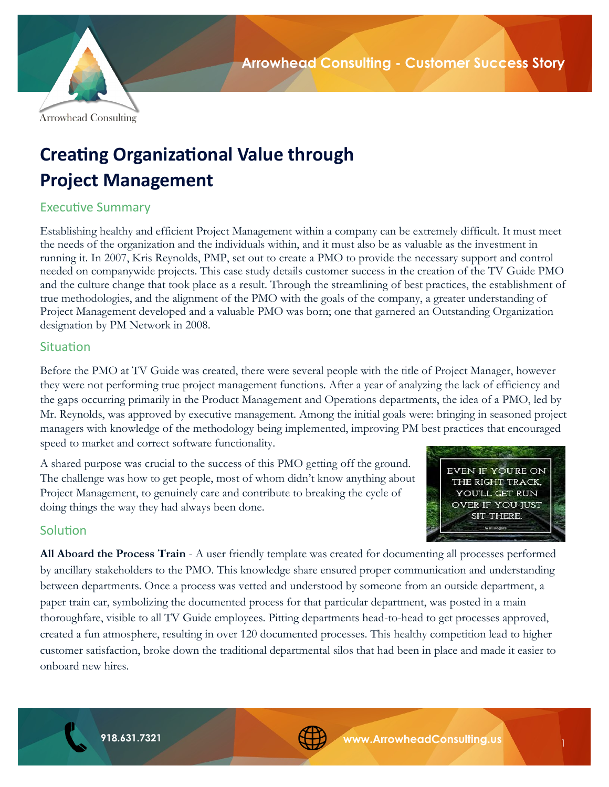

# **Creating Organizational Value through Project Management**

# Executive Summary

Establishing healthy and efficient Project Management within a company can be extremely difficult. It must meet the needs of the organization and the individuals within, and it must also be as valuable as the investment in running it. In 2007, Kris Reynolds, PMP, set out to create a PMO to provide the necessary support and control needed on companywide projects. This case study details customer success in the creation of the TV Guide PMO and the culture change that took place as a result. Through the streamlining of best practices, the establishment of true methodologies, and the alignment of the PMO with the goals of the company, a greater understanding of Project Management developed and a valuable PMO was born; one that garnered an Outstanding Organization designation by PM Network in 2008.

## **Situation**

Before the PMO at TV Guide was created, there were several people with the title of Project Manager, however they were not performing true project management functions. After a year of analyzing the lack of efficiency and the gaps occurring primarily in the Product Management and Operations departments, the idea of a PMO, led by Mr. Reynolds, was approved by executive management. Among the initial goals were: bringing in seasoned project managers with knowledge of the methodology being implemented, improving PM best practices that encouraged speed to market and correct software functionality.

A shared purpose was crucial to the success of this PMO getting off the ground. The challenge was how to get people, most of whom didn't know anything about Project Management, to genuinely care and contribute to breaking the cycle of doing things the way they had always been done.



1

# **Solution**

**All Aboard the Process Train** - A user friendly template was created for documenting all processes performed by ancillary stakeholders to the PMO. This knowledge share ensured proper communication and understanding between departments. Once a process was vetted and understood by someone from an outside department, a paper train car, symbolizing the documented process for that particular department, was posted in a main thoroughfare, visible to all TV Guide employees. Pitting departments head-to-head to get processes approved, created a fun atmosphere, resulting in over 120 documented processes. This healthy competition lead to higher customer satisfaction, broke down the traditional departmental silos that had been in place and made it easier to onboard new hires.

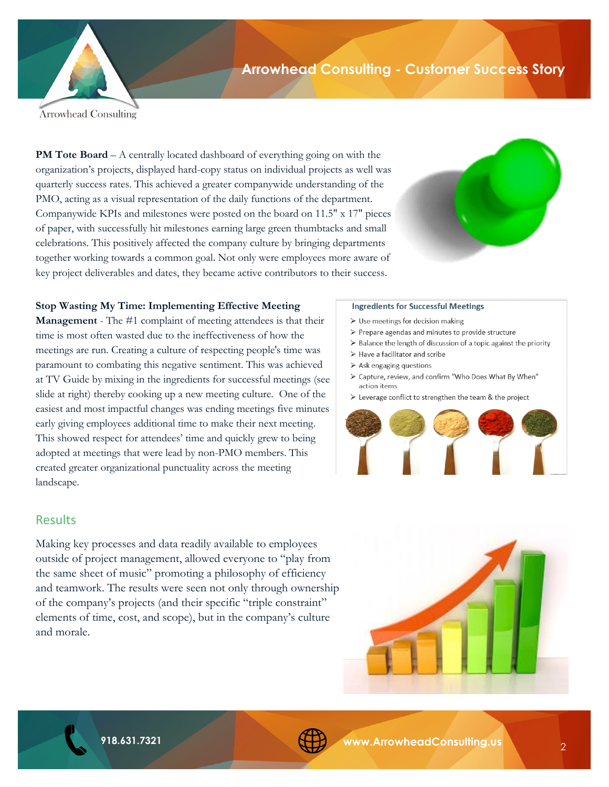

# **Arrowhead Consulting - Customer Success Story**

**Arrowhead Consulting** 

**PM Tote Board** – A centrally located dashboard of everything going on with the organization's projects, displayed hard-copy status on individual projects as well was quarterly success rates. This achieved a greater companywide understanding of the PMO, acting as a visual representation of the daily functions of the department. Companywide KPIs and milestones were posted on the board on 11.5" x 17" pieces of paper, with successfully hit milestones earning large green thumbtacks and small celebrations. This positively affected the company culture by bringing departments together working towards a common goal. Not only were employees more aware of key project deliverables and dates, they became active contributors to their success.



### **Stop Wasting My Time: Implementing Effective Meeting**

**Management** - The #1 complaint of meeting attendees is that their time is most often wasted due to the ineffectiveness of how the meetings are run. Creating a culture of respecting people's time was paramount to combating this negative sentiment. This was achieved at TV Guide by mixing in the ingredients for successful meetings (see slide at right) thereby cooking up a new meeting culture. One of the easiest and most impactful changes was ending meetings five minutes early giving employees additional time to make their next meeting. This showed respect for attendees' time and quickly grew to being adopted at meetings that were lead by non-PMO members. This created greater organizational punctuality across the meeting landscape.

### **Results**

Making key processes and data readily available to employees outside of project management, allowed everyone to "play from the same sheet of music" promoting a philosophy of efficiency and teamwork. The results were seen not only through ownership of the company's projects (and their specific "triple constraint" elements of time, cost, and scope), but in the company's culture and morale.

#### **Ingredients for Successful Meetings**

- $\triangleright$  Use meetings for decision making
- > Prepare agendas and minutes to provide structure
- > Balance the length of discussion of a topic against the priority
- > Have a facilitator and scribe
- $\geq$  Ask engaging questions
- > Capture, review, and confirm "Who Does What By When" action items
- > Leverage conflict to strengthen the team & the project